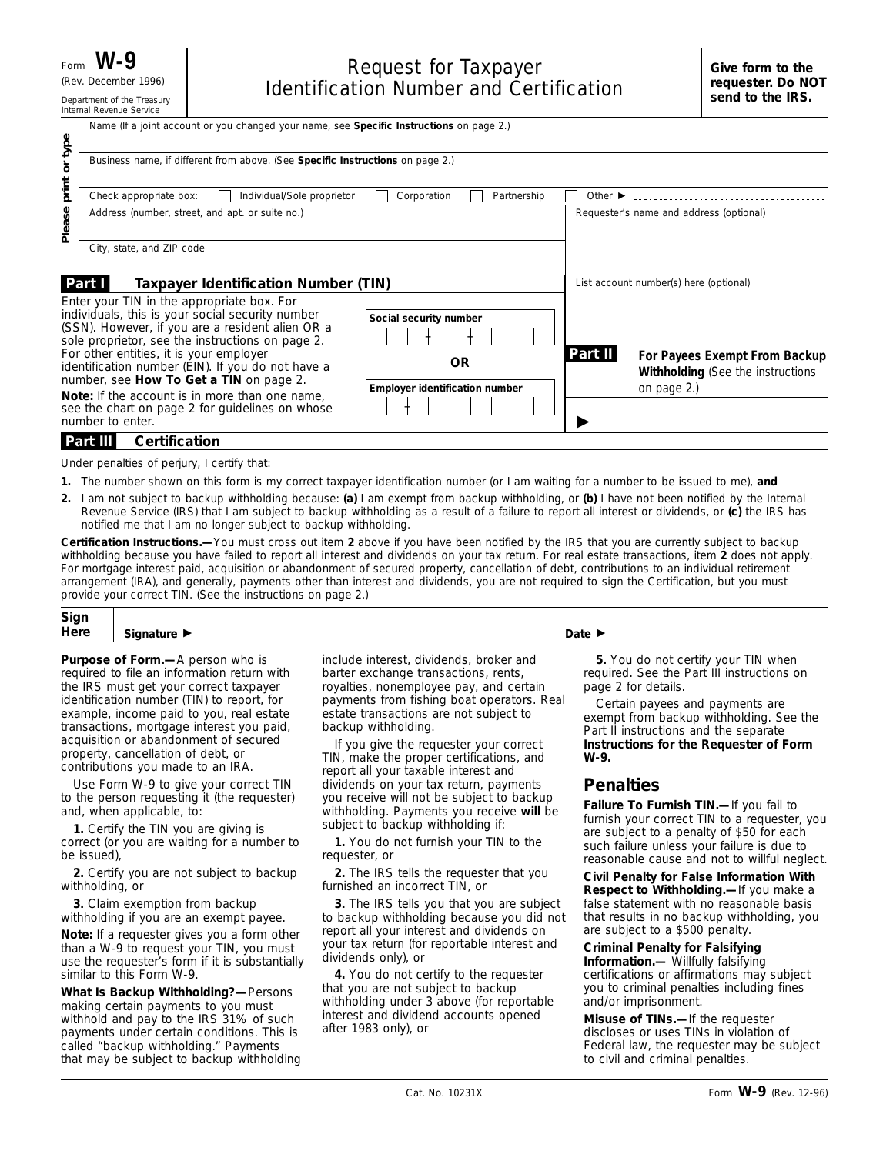|                                                                                                                                         | Name (If a joint account or you changed your name, see Specific Instructions on page 2.)                                                                                                               |                                                    |                             |                                                                                   |  |
|-----------------------------------------------------------------------------------------------------------------------------------------|--------------------------------------------------------------------------------------------------------------------------------------------------------------------------------------------------------|----------------------------------------------------|-----------------------------|-----------------------------------------------------------------------------------|--|
| type<br>$\overline{\sigma}$                                                                                                             | Business name, if different from above. (See Specific Instructions on page 2.)                                                                                                                         |                                                    |                             |                                                                                   |  |
| print                                                                                                                                   | Check appropriate box:<br>Individual/Sole proprietor                                                                                                                                                   | Corporation<br>Partnership                         | Other $\blacktriangleright$ |                                                                                   |  |
| Please                                                                                                                                  | Address (number, street, and apt. or suite no.)                                                                                                                                                        |                                                    |                             | Requester's name and address (optional)                                           |  |
|                                                                                                                                         | City, state, and ZIP code                                                                                                                                                                              |                                                    |                             |                                                                                   |  |
| Part I<br>Taxpayer Identification Number (TIN)                                                                                          |                                                                                                                                                                                                        |                                                    |                             | List account number(s) here (optional)                                            |  |
|                                                                                                                                         | Enter your TIN in the appropriate box. For<br>individuals, this is your social security number<br>(SSN). However, if you are a resident alien OR a<br>sole proprietor, see the instructions on page 2. | Social security number                             |                             |                                                                                   |  |
| For other entities, it is your employer<br>identification number (EIN). If you do not have a<br>number, see How To Get a TIN on page 2. |                                                                                                                                                                                                        | <b>OR</b><br><b>Employer identification number</b> | Part II                     | For Payees Exempt From Backup<br>Withholding (See the instructions<br>on page 2.) |  |
|                                                                                                                                         | <b>Note:</b> If the account is in more than one name.<br>see the chart on page 2 for quidelines on whose<br>number to enter.                                                                           |                                                    |                             |                                                                                   |  |
|                                                                                                                                         | <b>Certification</b><br><b>Part III</b>                                                                                                                                                                |                                                    |                             |                                                                                   |  |

Under penalties of perjury, I certify that:

- **1.** The number shown on this form is my correct taxpayer identification number (or I am waiting for a number to be issued to me), **and**
- I am not subject to backup withholding because: **(a)** I am exempt from backup withholding, or **(b)** I have not been notified by the Internal **2.** Revenue Service (IRS) that I am subject to backup withholding as a result of a failure to report all interest or dividends, or **(c)** the IRS has notified me that I am no longer subject to backup withholding.

**Certification Instructions.—**You must cross out item **2** above if you have been notified by the IRS that you are currently subject to backup withholding because you have failed to report all interest and dividends on your tax return. For real estate transactions, item **2** does not apply. For mortgage interest paid, acquisition or abandonment of secured property, cancellation of debt, contributions to an individual retirement arrangement (IRA), and generally, payments other than interest and dividends, you are not required to sign the Certification, but you must provide your correct TIN. (See the instructions on page 2.)

| Sign |    |        |
|------|----|--------|
| Here | -- | Date D |
|      |    |        |

**Purpose of Form.—**A person who is required to file an information return with the IRS must get your correct taxpayer identification number (TIN) to report, for example, income paid to you, real estate transactions, mortgage interest you paid, acquisition or abandonment of secured property, cancellation of debt, or contributions you made to an IRA.

Use Form W-9 to give your correct TIN to the person requesting it (the requester) and, when applicable, to:

**1.** Certify the TIN you are giving is correct (or you are waiting for a number to be issued),

**2.** Certify you are not subject to backup withholding, or

**3.** Claim exemption from backup withholding if you are an exempt payee.

**Note:** *If a requester gives you a form other than a W-9 to request your TIN, you must use the requester's form if it is substantially similar to this Form W-9.*

**What Is Backup Withholding?—**Persons making certain payments to you must withhold and pay to the IRS 31% of such payments under certain conditions. This is called "backup withholding." Payments that may be subject to backup withholding include interest, dividends, broker and barter exchange transactions, rents, royalties, nonemployee pay, and certain payments from fishing boat operators. Real estate transactions are not subject to backup withholding.

If you give the requester your correct TIN, make the proper certifications, and report all your taxable interest and dividends on your tax return, payments you receive will not be subject to backup withholding. Payments you receive **will** be subject to backup withholding if:

**1.** You do not furnish your TIN to the requester, or

**2.** The IRS tells the requester that you furnished an incorrect TIN, or

**3.** The IRS tells you that you are subject to backup withholding because you did not report all your interest and dividends on your tax return (for reportable interest and dividends only), or

**4.** You do not certify to the requester that you are not subject to backup withholding under 3 above (for reportable interest and dividend accounts opened after 1983 only), or

**5.** You do not certify your TIN when required. See the Part III instructions on page 2 for details.

Certain payees and payments are exempt from backup withholding. See the Part II instructions and the separate **Instructions for the Requester of Form W-9.**

# **Penalties**

**Failure To Furnish TIN.—**If you fail to furnish your correct TIN to a requester, you are subject to a penalty of \$50 for each such failure unless your failure is due to reasonable cause and not to willful neglect.

**Civil Penalty for False Information With Respect to Withholding.—**If you make a false statement with no reasonable basis that results in no backup withholding, you are subject to a \$500 penalty.

**Criminal Penalty for Falsifying Information.—** Willfully falsifying certifications or affirmations may subject you to criminal penalties including fines and/or imprisonment.

**Misuse of TINs.—**If the requester discloses or uses TINs in violation of Federal law, the requester may be subject to civil and criminal penalties.